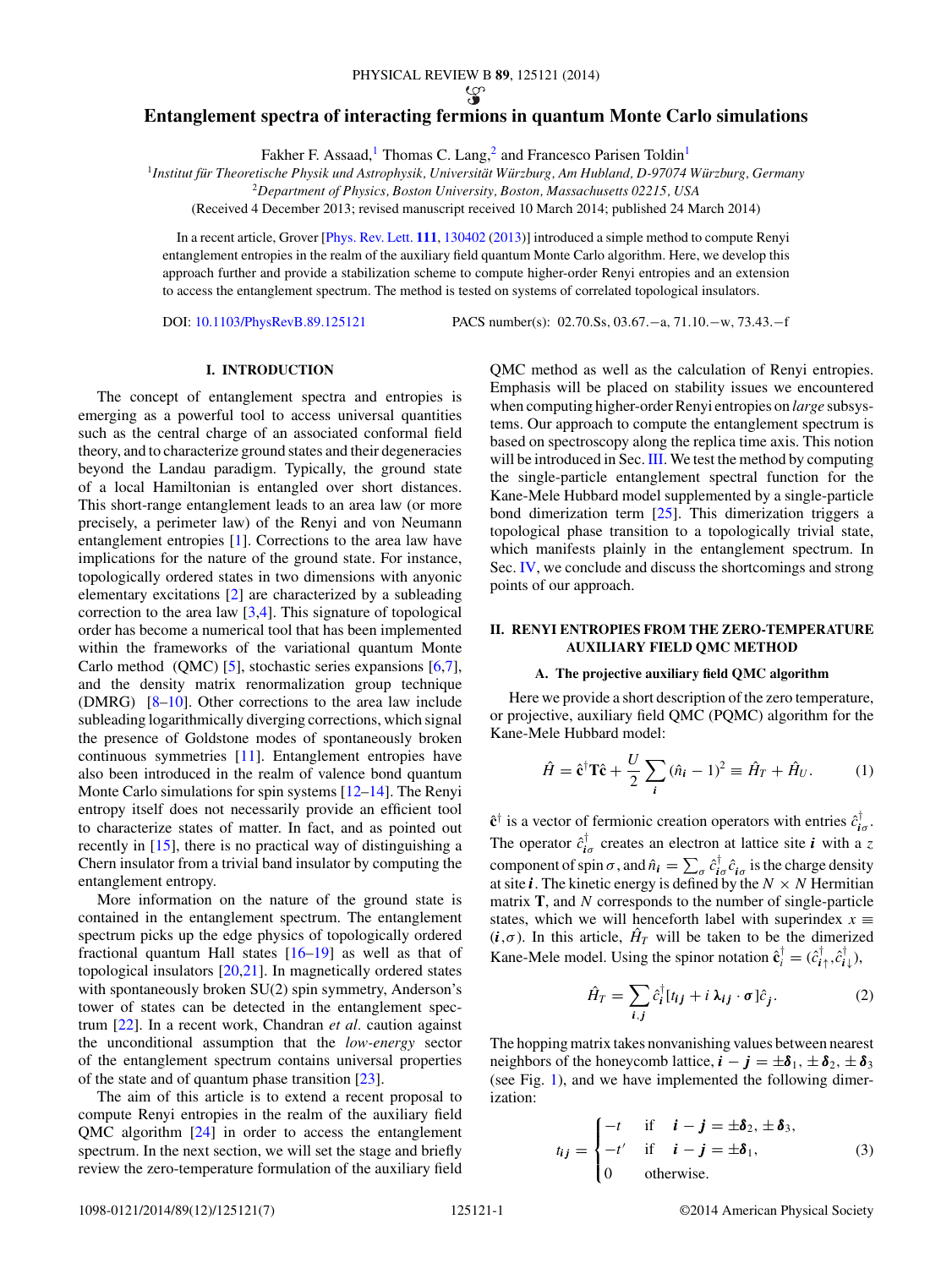# <span id="page-0-0"></span>**Entanglement spectra of interacting fermions in quantum Monte Carlo simulations**

Fakher F. Assaad,<sup>1</sup> Thomas C. Lang,<sup>2</sup> and Francesco Parisen Toldin<sup>1</sup>

<sup>1</sup>Institut für Theoretische Physik und Astrophysik, Universität Würzburg, Am Hubland, D-97074 Würzburg, Germany

<sup>2</sup>*Department of Physics, Boston University, Boston, Massachusetts 02215, USA*

(Received 4 December 2013; revised manuscript received 10 March 2014; published 24 March 2014)

In a recent article, Grover [\[Phys. Rev. Lett.](http://dx.doi.org/10.1103/PhysRevLett.111.130402) **[111](http://dx.doi.org/10.1103/PhysRevLett.111.130402)**, [130402](http://dx.doi.org/10.1103/PhysRevLett.111.130402) [\(2013\)](http://dx.doi.org/10.1103/PhysRevLett.111.130402)] introduced a simple method to compute Renyi entanglement entropies in the realm of the auxiliary field quantum Monte Carlo algorithm. Here, we develop this approach further and provide a stabilization scheme to compute higher-order Renyi entropies and an extension to access the entanglement spectrum. The method is tested on systems of correlated topological insulators.

DOI: [10.1103/PhysRevB.89.125121](http://dx.doi.org/10.1103/PhysRevB.89.125121) PACS number(s): 02*.*70*.*Ss*,* 03*.*67*.*−a*,* 71*.*10*.*−w*,* 73*.*43*.*−f

## **I. INTRODUCTION**

The concept of entanglement spectra and entropies is emerging as a powerful tool to access universal quantities such as the central charge of an associated conformal field theory, and to characterize ground states and their degeneracies beyond the Landau paradigm. Typically, the ground state of a local Hamiltonian is entangled over short distances. This short-range entanglement leads to an area law (or more precisely, a perimeter law) of the Renyi and von Neumann entanglement entropies [\[1\]](#page-6-0). Corrections to the area law have implications for the nature of the ground state. For instance, topologically ordered states in two dimensions with anyonic elementary excitations [\[2\]](#page-6-0) are characterized by a subleading correction to the area law  $[3,4]$ . This signature of topological order has become a numerical tool that has been implemented within the frameworks of the variational quantum Monte Carlo method (QMC) [\[5\]](#page-6-0), stochastic series expansions [\[6,7\]](#page-6-0), and the density matrix renormalization group technique (DMRG) [\[8–10\]](#page-6-0). Other corrections to the area law include subleading logarithmically diverging corrections, which signal the presence of Goldstone modes of spontaneously broken continuous symmetries [\[11\]](#page-6-0). Entanglement entropies have also been introduced in the realm of valence bond quantum Monte Carlo simulations for spin systems [\[12–14\]](#page-6-0). The Renyi entropy itself does not necessarily provide an efficient tool to characterize states of matter. In fact, and as pointed out recently in [\[15\]](#page-6-0), there is no practical way of distinguishing a Chern insulator from a trivial band insulator by computing the entanglement entropy.

More information on the nature of the ground state is contained in the entanglement spectrum. The entanglement spectrum picks up the edge physics of topologically ordered fractional quantum Hall states [\[16–19\]](#page-6-0) as well as that of topological insulators [\[20,21\]](#page-6-0). In magnetically ordered states with spontaneously broken SU(2) spin symmetry, Anderson's tower of states can be detected in the entanglement spectrum [\[22\]](#page-6-0). In a recent work, Chandran *et al.* caution against the unconditional assumption that the *low-energy* sector of the entanglement spectrum contains universal properties of the state and of quantum phase transition [\[23\]](#page-6-0).

The aim of this article is to extend a recent proposal to compute Renyi entropies in the realm of the auxiliary field QMC algorithm [\[24\]](#page-6-0) in order to access the entanglement spectrum. In the next section, we will set the stage and briefly review the zero-temperature formulation of the auxiliary field QMC method as well as the calculation of Renyi entropies. Emphasis will be placed on stability issues we encountered when computing higher-order Renyi entropies on *large* subsystems. Our approach to compute the entanglement spectrum is based on spectroscopy along the replica time axis. This notion will be introduced in Sec. [III.](#page-3-0) We test the method by computing the single-particle entanglement spectral function for the Kane-Mele Hubbard model supplemented by a single-particle bond dimerization term [\[25\]](#page-6-0). This dimerization triggers a topological phase transition to a topologically trivial state, which manifests plainly in the entanglement spectrum. In Sec. [IV,](#page-4-0) we conclude and discuss the shortcomings and strong points of our approach.

### **II. RENYI ENTROPIES FROM THE ZERO-TEMPERATURE AUXILIARY FIELD QMC METHOD**

### **A. The projective auxiliary field QMC algorithm**

Here we provide a short description of the zero temperature, or projective, auxiliary field QMC (PQMC) algorithm for the Kane-Mele Hubbard model:

$$
\hat{H} = \hat{\mathbf{c}}^{\dagger} \mathbf{T} \hat{\mathbf{c}} + \frac{U}{2} \sum_{i} (\hat{n}_i - 1)^2 \equiv \hat{H}_T + \hat{H}_U. \tag{1}
$$

 $\hat{\mathbf{c}}^{\dagger}$  is a vector of fermionic creation operators with entries  $\hat{c}^{\dagger}_{i\sigma}$ . The operator  $\hat{c}^{\dagger}_{i\sigma}$  creates an electron at lattice site *i* with a *z* component of spin  $\sigma$ , and  $\hat{n}_i = \sum_{\sigma} \hat{c}_{i\sigma}^\dagger \hat{c}_{i\sigma}$  is the charge density at site *i*. The kinetic energy is defined by the  $N \times N$  Hermitian matrix **T**, and *N* corresponds to the number of single-particle states, which we will henceforth label with superindex  $x \equiv$  $(i, \sigma)$ . In this article,  $\hat{H}_T$  will be taken to be the dimerized Kane-Mele model. Using the spinor notation  $\hat{\mathbf{c}}_i^{\dagger} = (\hat{c}_{i\uparrow}^{\dagger}, \hat{c}_{i\downarrow}^{\dagger})$ ,

$$
\hat{H}_T = \sum_{i,j} \hat{c}_i^{\dagger} [t_{ij} + i \lambda_{ij} \cdot \sigma] \hat{c}_j.
$$
 (2)

The hopping matrix takes nonvanishing values between nearest neighbors of the honeycomb lattice,  $\mathbf{i} - \mathbf{j} = \pm \delta_1, \pm \delta_2, \pm \delta_3$ (see Fig. [1\)](#page-1-0), and we have implemented the following dimerization:

$$
t_{ij} = \begin{cases} -t & \text{if } i - j = \pm \delta_2, \pm \delta_3, \\ -t' & \text{if } i - j = \pm \delta_1, \\ 0 & \text{otherwise.} \end{cases}
$$
(3)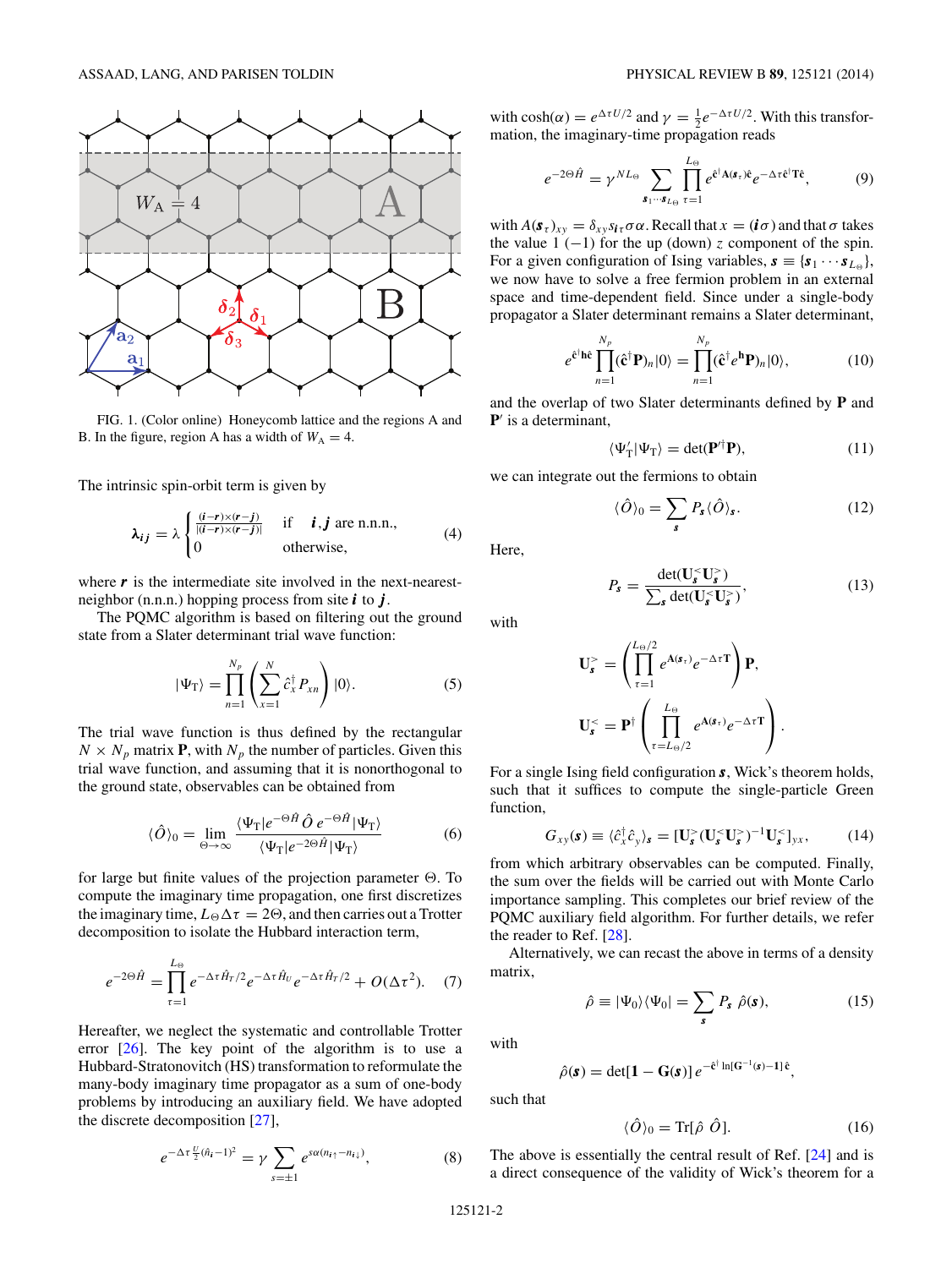<span id="page-1-0"></span>

FIG. 1. (Color online) Honeycomb lattice and the regions A and B. In the figure, region A has a width of  $W_A = 4$ .

The intrinsic spin-orbit term is given by

$$
\lambda_{ij} = \lambda \begin{cases} \frac{(i-r)\times(r-j)}{|(i-r)\times(r-j)|} & \text{if } i, j \text{ are n.n.n.,} \\ 0 & \text{otherwise,} \end{cases}
$$
 (4)

where  $\boldsymbol{r}$  is the intermediate site involved in the next-nearestneighbor (n.n.n.) hopping process from site *i* to *j* .

The PQMC algorithm is based on filtering out the ground state from a Slater determinant trial wave function:

$$
|\Psi_{\rm T}\rangle = \prod_{n=1}^{N_p} \left( \sum_{x=1}^N \hat{c}_x^{\dagger} P_{xn} \right) |0\rangle. \tag{5}
$$

The trial wave function is thus defined by the rectangular  $N \times N_p$  matrix **P**, with  $N_p$  the number of particles. Given this trial wave function, and assuming that it is nonorthogonal to the ground state, observables can be obtained from

$$
\langle \hat{O} \rangle_0 = \lim_{\Theta \to \infty} \frac{\langle \Psi_{\rm T} | e^{-\Theta \hat{H}} \hat{O} e^{-\Theta \hat{H}} | \Psi_{\rm T} \rangle}{\langle \Psi_{\rm T} | e^{-2\Theta \hat{H}} | \Psi_{\rm T} \rangle} \tag{6}
$$

for large but finite values of the projection parameter  $\Theta$ . To compute the imaginary time propagation, one first discretizes the imaginary time,  $L_{\Theta} \Delta \tau = 2\Theta$ , and then carries out a Trotter decomposition to isolate the Hubbard interaction term,

$$
e^{-2\Theta \hat{H}} = \prod_{\tau=1}^{L_{\Theta}} e^{-\Delta \tau \hat{H}_{T}/2} e^{-\Delta \tau \hat{H}_{U}} e^{-\Delta \tau \hat{H}_{T}/2} + O(\Delta \tau^{2}). \quad (7)
$$

Hereafter, we neglect the systematic and controllable Trotter error  $[26]$ . The key point of the algorithm is to use a Hubbard-Stratonovitch (HS) transformation to reformulate the many-body imaginary time propagator as a sum of one-body problems by introducing an auxiliary field. We have adopted the discrete decomposition [\[27\]](#page-6-0),

$$
e^{-\Delta \tau \frac{U}{2}(\hat{n}_i - 1)^2} = \gamma \sum_{s = \pm 1} e^{s \alpha (n_{i\uparrow} - n_{i\downarrow})}, \tag{8}
$$

with  $\cosh(\alpha) = e^{\Delta \tau U/2}$  and  $\gamma = \frac{1}{2} e^{-\Delta \tau U/2}$ . With this transformation, the imaginary-time propagation reads

$$
e^{-2\Theta \hat{H}} = \gamma^{NL_{\Theta}} \sum_{\mathbf{s}_1\cdots \mathbf{s}_{L_{\Theta}}} \prod_{\tau=1}^{L_{\Theta}} e^{\hat{\mathbf{c}}^{\dagger} \mathbf{A}(\mathbf{s}_{\tau}) \hat{\mathbf{c}}} e^{-\Delta \tau \hat{\mathbf{c}}^{\dagger} \mathbf{T} \hat{\mathbf{c}}}, \tag{9}
$$

with  $A(\mathbf{s}_{\tau})_{xy} = \delta_{xy} s_{i\tau} \sigma \alpha$ . Recall that  $x = (i\sigma)$  and that  $\sigma$  takes the value  $1$  (-1) for the up (down) *z* component of the spin. For a given configuration of Ising variables,  $\mathbf{s} \equiv {\mathbf{s}_1 \cdots \mathbf{s}_{L_{\varnothing}}}$ , we now have to solve a free fermion problem in an external space and time-dependent field. Since under a single-body propagator a Slater determinant remains a Slater determinant,

$$
e^{\hat{\mathbf{c}}^{\dagger}\hat{\mathbf{h}}\hat{\mathbf{c}}}\prod_{n=1}^{N_p}(\hat{\mathbf{c}}^{\dagger}\mathbf{P})_n|0\rangle = \prod_{n=1}^{N_p}(\hat{\mathbf{c}}^{\dagger}e^{\hat{\mathbf{h}}}\mathbf{P})_n|0\rangle, \qquad (10)
$$

and the overlap of two Slater determinants defined by **P** and **P**' is a determinant,

$$
\langle \Psi'_{\rm T} | \Psi_{\rm T} \rangle = \det(\mathbf{P}^{\prime \dagger} \mathbf{P}),\tag{11}
$$

we can integrate out the fermions to obtain

$$
\langle \hat{O} \rangle_0 = \sum_{s} P_s \langle \hat{O} \rangle_s. \tag{12}
$$

Here,

$$
P_s = \frac{\det(\mathbf{U}_s^{\langle \cdot \rangle} \mathbf{U}_s^{\rangle})}{\sum_s \det(\mathbf{U}_s^{\langle \cdot \rangle} \mathbf{U}_s^{\rangle})},\tag{13}
$$

with

$$
\mathbf{U}_{\mathbf{s}}^{>} = \left(\prod_{\tau=1}^{L_{\Theta}/2} e^{\mathbf{A}(\mathbf{s}_{\tau})} e^{-\Delta \tau} \mathbf{T}\right) \mathbf{P},
$$

$$
\mathbf{U}_{\mathbf{s}}^{<} = \mathbf{P}^{\dagger} \left(\prod_{\tau=L_{\Theta}/2}^{L_{\Theta}} e^{\mathbf{A}(\mathbf{s}_{\tau})} e^{-\Delta \tau} \mathbf{T}\right).
$$

For a single Ising field configuration *s*, Wick's theorem holds, such that it suffices to compute the single-particle Green function,

$$
G_{xy}(\mathbf{s}) \equiv \langle \hat{c}_x^{\dagger} \hat{c}_y \rangle_{\mathbf{s}} = [\mathbf{U}_{\mathbf{s}}^>(\mathbf{U}_{\mathbf{s}}^{\leq} \mathbf{U}_{\mathbf{s}}^{\geq})^{-1} \mathbf{U}_{\mathbf{s}}^{\leq} ]_{yx},\tag{14}
$$

from which arbitrary observables can be computed. Finally, the sum over the fields will be carried out with Monte Carlo importance sampling. This completes our brief review of the PQMC auxiliary field algorithm. For further details, we refer the reader to Ref. [\[28\]](#page-6-0).

Alternatively, we can recast the above in terms of a density matrix,

$$
\hat{\rho} \equiv |\Psi_0\rangle\langle\Psi_0| = \sum_s P_s \hat{\rho}(s), \qquad (15)
$$

with

$$
\hat{\rho}(\mathbf{s}) = \det[\mathbf{1} - \mathbf{G}(\mathbf{s})] e^{-\hat{\mathbf{c}}^{\dagger} \ln[\mathbf{G}^{-1}(\mathbf{s}) - \mathbf{1}] \hat{\mathbf{c}}},
$$

such that

$$
\langle \hat{O} \rangle_0 = \text{Tr}[\hat{\rho} \; \hat{O}]. \tag{16}
$$

The above is essentially the central result of Ref. [\[24\]](#page-6-0) and is a direct consequence of the validity of Wick's theorem for a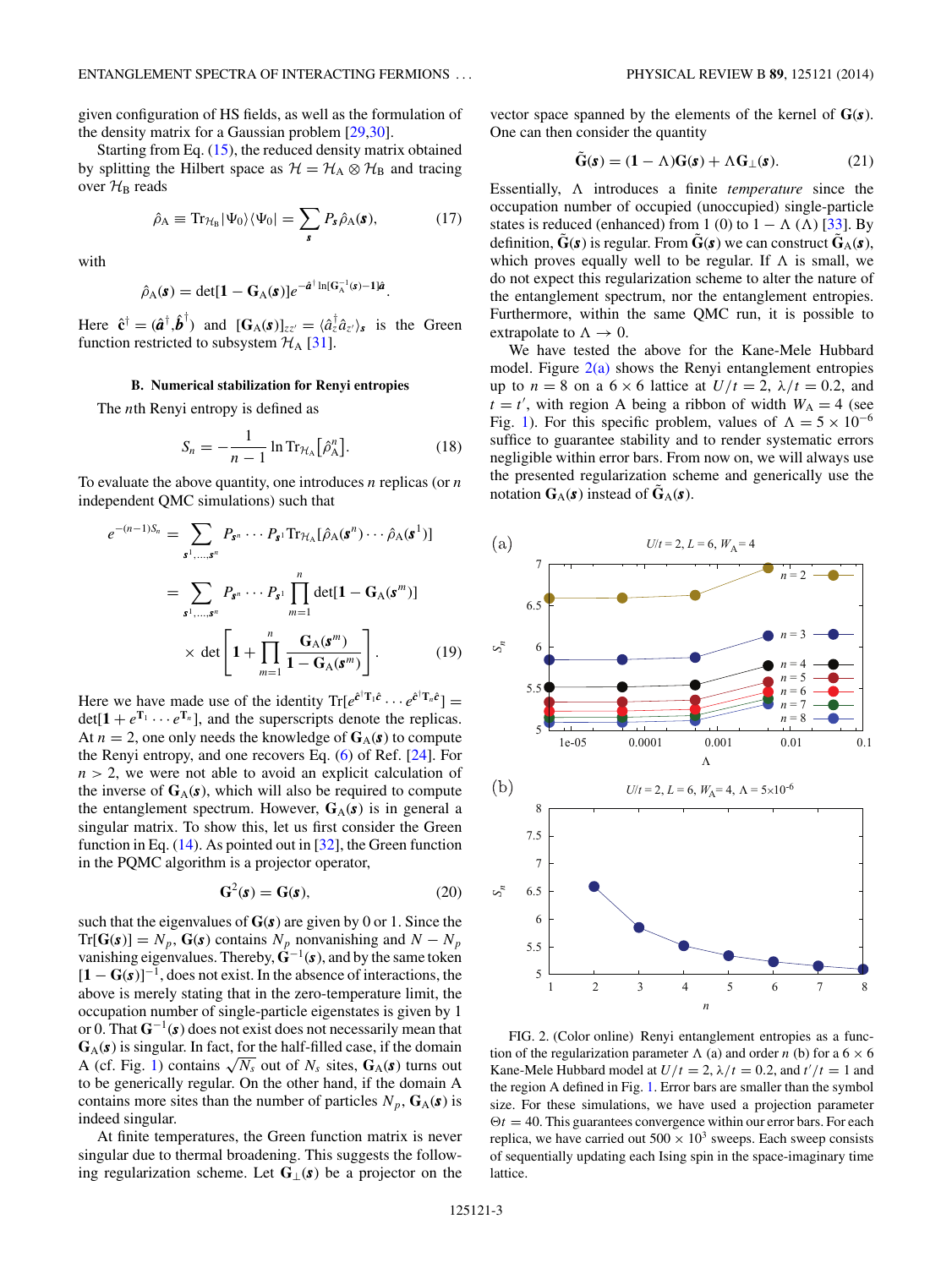<span id="page-2-0"></span>given configuration of HS fields, as well as the formulation of the density matrix for a Gaussian problem [\[29,30\]](#page-6-0).

Starting from Eq. [\(15\)](#page-1-0), the reduced density matrix obtained by splitting the Hilbert space as  $\mathcal{H} = \mathcal{H}_A \otimes \mathcal{H}_B$  and tracing over  $\mathcal{H}_\mathrm{B}$  reads

$$
\hat{\rho}_A \equiv \text{Tr}_{\mathcal{H}_B} |\Psi_0\rangle \langle \Psi_0| = \sum_{\mathbf{s}} P_{\mathbf{s}} \hat{\rho}_A(\mathbf{s}), \tag{17}
$$

with

$$
\hat{\rho}_{\mathbf{A}}(\mathbf{s}) = \det[\mathbf{1} - \mathbf{G}_{\mathbf{A}}(\mathbf{s})]e^{-\hat{\mathbf{a}}^{\dagger}\ln[\mathbf{G}_{\mathbf{A}}^{-1}(\mathbf{s}) - \mathbf{1}]\hat{\mathbf{a}}}.
$$

Here  $\hat{\mathbf{c}}^{\dagger} = (\hat{\mathbf{a}}^{\dagger}, \hat{\mathbf{b}}^{\dagger})$  and  $[\mathbf{G}_{\mathbf{A}}(\mathbf{s})]_{zz'} = \langle \hat{a}^{\dagger}_z \hat{a}_{z'} \rangle_{\mathbf{s}}$  is the Green function restricted to subsystem  $H_A$  [\[31\]](#page-6-0).

#### **B. Numerical stabilization for Renyi entropies**

The *n*th Renyi entropy is defined as

$$
S_n = -\frac{1}{n-1} \ln \text{Tr}_{\mathcal{H}_A} \big[\hat{\rho}_A^n \big]. \tag{18}
$$

To evaluate the above quantity, one introduces *n* replicas (or *n* independent QMC simulations) such that

$$
e^{-(n-1)S_n} = \sum_{\mathbf{s}^1, \dots, \mathbf{s}^n} P_{\mathbf{s}^n} \cdots P_{\mathbf{s}^1} \text{Tr}_{\mathcal{H}_A} [\hat{\rho}_A(\mathbf{s}^n) \cdots \hat{\rho}_A(\mathbf{s}^1)]
$$
  

$$
= \sum_{\mathbf{s}^1, \dots, \mathbf{s}^n} P_{\mathbf{s}^n} \cdots P_{\mathbf{s}^1} \prod_{m=1}^n \det[\mathbf{1} - \mathbf{G}_A(\mathbf{s}^m)]
$$
  

$$
\times \det \left[\mathbf{1} + \prod_{m=1}^n \frac{\mathbf{G}_A(\mathbf{s}^m)}{\mathbf{1} - \mathbf{G}_A(\mathbf{s}^m)}\right].
$$
 (19)

Here we have made use of the identity  $\text{Tr}[e^{\hat{c}^\dagger \mathbf{T}_1 \hat{c}} \cdots e^{\hat{c}^\dagger \mathbf{T}_n \hat{c}}]$  $det[1 + e^{T_1} \cdots e^{T_n}]$ , and the superscripts denote the replicas. At  $n = 2$ , one only needs the knowledge of  $G_A(s)$  to compute the Renyi entropy, and one recovers Eq. [\(6\)](#page-1-0) of Ref. [\[24\]](#page-6-0). For *n >* 2, we were not able to avoid an explicit calculation of the inverse of  $G_A(s)$ , which will also be required to compute the entanglement spectrum. However,  $G_A(s)$  is in general a singular matrix. To show this, let us first consider the Green function in Eq. [\(14\)](#page-1-0). As pointed out in [\[32\]](#page-6-0), the Green function in the PQMC algorithm is a projector operator,

$$
\mathbf{G}^2(\mathbf{s}) = \mathbf{G}(\mathbf{s}),\tag{20}
$$

such that the eigenvalues of **G**(*s*) are given by 0 or 1. Since the  $Tr[G(\mathbf{s})] = N_p$ ,  $G(\mathbf{s})$  contains  $N_p$  nonvanishing and  $N - N_p$ vanishing eigenvalues. Thereby,  $\hat{G}^{-1}(\mathbf{s})$ , and by the same token [**1** − **G**(*s*)]<sup>−</sup>1, does not exist. In the absence of interactions, the above is merely stating that in the zero-temperature limit, the occupation number of single-particle eigenstates is given by 1 or 0. That **G**<sup>−</sup>1(*s*) does not exist does not necessarily mean that  $G_A(s)$  is singular. In fact, for the half-filled case, if the domain A (cf. Fig. [1\)](#page-1-0) contains  $\sqrt{N_s}$  out of  $N_s$  sites,  $G_A(s)$  turns out to be generically regular. On the other hand, if the domain A contains more sites than the number of particles  $N_p$ ,  $\mathbf{G}_A(\mathbf{s})$  is indeed singular.

At finite temperatures, the Green function matrix is never singular due to thermal broadening. This suggests the following regularization scheme. Let **G**⊥(*s*) be a projector on the vector space spanned by the elements of the kernel of **G**(*s*). One can then consider the quantity

$$
\tilde{G}(s) = (1 - \Lambda)G(s) + \Lambda G_{\perp}(s). \tag{21}
$$

Essentially,  introduces a finite *temperature* since the occupation number of occupied (unoccupied) single-particle states is reduced (enhanced) from 1 (0) to  $1 - \Lambda (\Lambda)$  [\[33\]](#page-6-0). By definition,  $\tilde{G}(s)$  is regular. From  $\tilde{G}(s)$  we can construct  $\tilde{G}_{A}(s)$ , which proves equally well to be regular. If  $\Lambda$  is small, we do not expect this regularization scheme to alter the nature of the entanglement spectrum, nor the entanglement entropies. Furthermore, within the same QMC run, it is possible to extrapolate to  $\Lambda \rightarrow 0$ .

We have tested the above for the Kane-Mele Hubbard model. Figure  $2(a)$  shows the Renyi entanglement entropies up to  $n = 8$  on a  $6 \times 6$  lattice at  $U/t = 2$ ,  $\lambda/t = 0.2$ , and  $t = t'$ , with region A being a ribbon of width  $W_A = 4$  (see Fig. [1\)](#page-1-0). For this specific problem, values of  $\Lambda = 5 \times 10^{-6}$ suffice to guarantee stability and to render systematic errors negligible within error bars. From now on, we will always use the presented regularization scheme and generically use the notation  $G_A(s)$  instead of  $\tilde{G}_A(s)$ .



FIG. 2. (Color online) Renyi entanglement entropies as a function of the regularization parameter  $\Lambda$  (a) and order *n* (b) for a  $6 \times 6$ Kane-Mele Hubbard model at  $U/t = 2$ ,  $\lambda/t = 0.2$ , and  $t'/t = 1$  and the region A defined in Fig. [1.](#page-1-0) Error bars are smaller than the symbol size. For these simulations, we have used a projection parameter  $\Theta t = 40$ . This guarantees convergence within our error bars. For each replica, we have carried out  $500 \times 10^3$  sweeps. Each sweep consists of sequentially updating each Ising spin in the space-imaginary time lattice.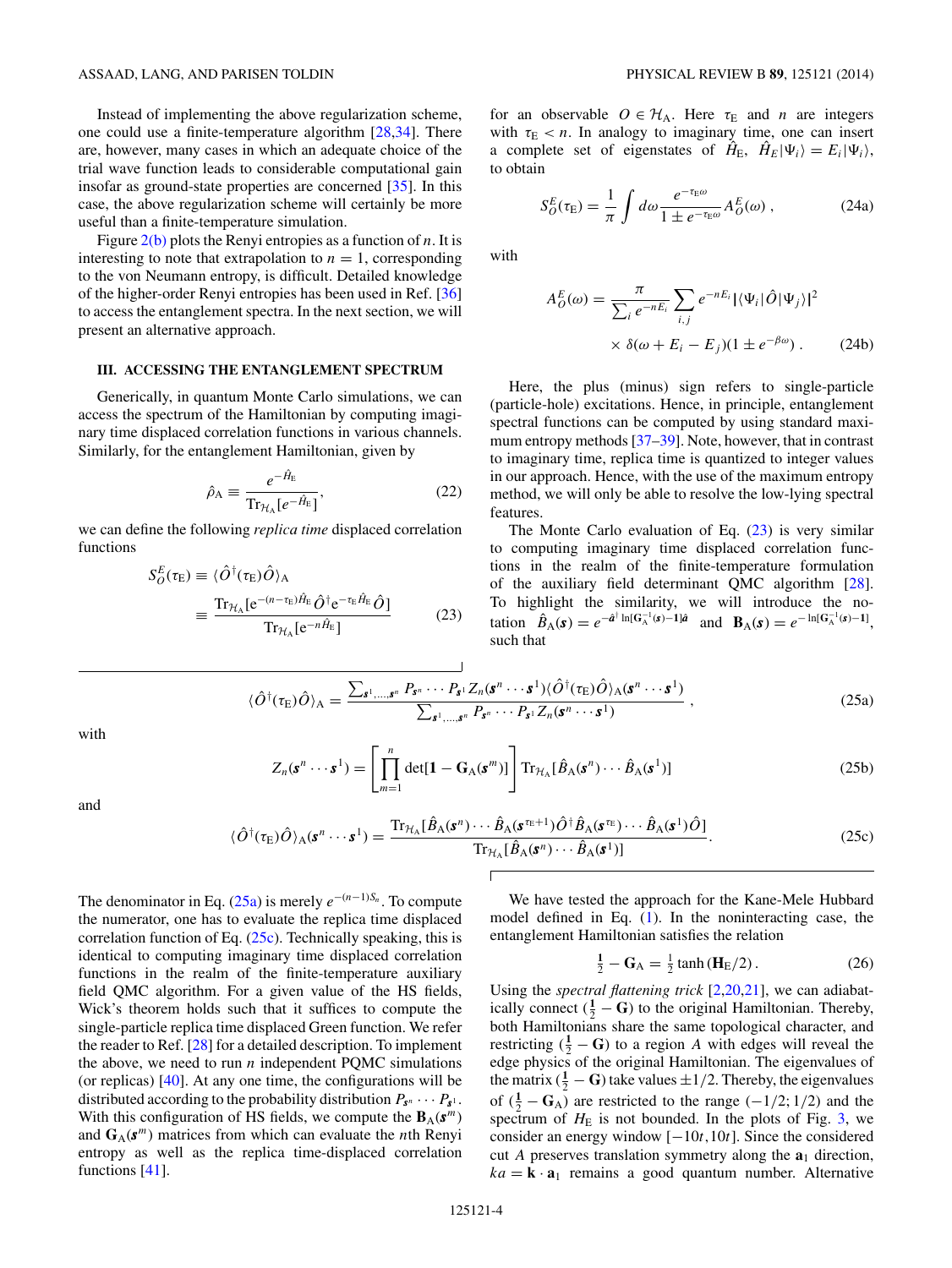<span id="page-3-0"></span>Instead of implementing the above regularization scheme, one could use a finite-temperature algorithm [\[28,34\]](#page-6-0). There are, however, many cases in which an adequate choice of the trial wave function leads to considerable computational gain insofar as ground-state properties are concerned [\[35\]](#page-6-0). In this case, the above regularization scheme will certainly be more useful than a finite-temperature simulation.

Figure [2\(b\)](#page-2-0) plots the Renyi entropies as a function of *n*. It is interesting to note that extrapolation to  $n = 1$ , corresponding to the von Neumann entropy, is difficult. Detailed knowledge of the higher-order Renyi entropies has been used in Ref. [\[36\]](#page-6-0) to access the entanglement spectra. In the next section, we will present an alternative approach.

### **III. ACCESSING THE ENTANGLEMENT SPECTRUM**

Generically, in quantum Monte Carlo simulations, we can access the spectrum of the Hamiltonian by computing imaginary time displaced correlation functions in various channels. Similarly, for the entanglement Hamiltonian, given by

$$
\hat{\rho}_{A} \equiv \frac{e^{-\hat{H}_{E}}}{\text{Tr}_{\mathcal{H}_{A}}[e^{-\hat{H}_{E}}]},
$$
\n(22)

we can define the following *replica time* displaced correlation functions

$$
S_{O}^{E}(\tau_{E}) \equiv \langle \hat{O}^{\dagger}(\tau_{E})\hat{O}\rangle_{A}
$$
  

$$
\equiv \frac{\text{Tr}_{\mathcal{H}_{A}}[e^{-(n-\tau_{E})\hat{H}_{E}}\hat{O}^{\dagger}e^{-\tau_{E}\hat{H}_{E}}\hat{O}]}{\text{Tr}_{\mathcal{H}_{A}}[e^{-n\hat{H}_{E}}]}
$$
(23)

for an observable  $O \in H_A$ . Here  $\tau_E$  and *n* are integers with  $\tau_{\rm E}$  *< n*. In analogy to imaginary time, one can insert a complete set of eigenstates of  $\hat{H}_{E}$ ,  $\hat{H}_{E}|\Psi_{i}\rangle = E_{i}|\Psi_{i}\rangle$ , to obtain

$$
S_O^E(\tau_{\rm E}) = \frac{1}{\pi} \int d\omega \frac{e^{-\tau_{\rm E}\omega}}{1 \pm e^{-\tau_{\rm E}\omega}} A_O^E(\omega) , \qquad (24a)
$$

with

$$
A_{O}^{E}(\omega) = \frac{\pi}{\sum_{i} e^{-nE_{i}}} \sum_{i,j} e^{-nE_{i}} |\langle \Psi_{i} | \hat{O} | \Psi_{j} \rangle|^{2}
$$

$$
\times \delta(\omega + E_{i} - E_{j})(1 \pm e^{-\beta \omega}). \tag{24b}
$$

Here, the plus (minus) sign refers to single-particle (particle-hole) excitations. Hence, in principle, entanglement spectral functions can be computed by using standard maximum entropy methods [\[37–39\]](#page-6-0). Note, however, that in contrast to imaginary time, replica time is quantized to integer values in our approach. Hence, with the use of the maximum entropy method, we will only be able to resolve the low-lying spectral features.

The Monte Carlo evaluation of Eq.  $(23)$  is very similar to computing imaginary time displaced correlation functions in the realm of the finite-temperature formulation of the auxiliary field determinant QMC algorithm [\[28\]](#page-6-0). To highlight the similarity, we will introduce the notation  $\hat{B}_{A}(s) = e^{-\hat{a}^{\dagger} \ln[G_{A}^{-1}(s) - 1]\hat{a}}$  and  $B_{A}(s) = e^{-\ln[G_{A}^{-1}(s) - 1]},$ such that

$$
\langle \hat{O}^{\dagger}(\tau_{\rm E})\hat{O}\rangle_{\rm A} = \frac{\sum_{\mathbf{s}^1,\dots,\mathbf{s}^n} P_{\mathbf{s}^n}\dots P_{\mathbf{s}^1}Z_n(\mathbf{s}^n\cdots\mathbf{s}^1)\langle \hat{O}^{\dagger}(\tau_{\rm E})\hat{O}\rangle_{\rm A}(\mathbf{s}^n\cdots\mathbf{s}^1)}{\sum_{\mathbf{s}^1,\dots,\mathbf{s}^n} P_{\mathbf{s}^n}\cdots P_{\mathbf{s}^1}Z_n(\mathbf{s}^n\cdots\mathbf{s}^1)}\,,\tag{25a}
$$

with

$$
Z_n(\mathbf{s}^n \cdots \mathbf{s}^1) = \left[ \prod_{m=1}^n \det[\mathbf{1} - \mathbf{G}_A(\mathbf{s}^m)] \right] \operatorname{Tr}_{\mathcal{H}_A} [\hat{B}_A(\mathbf{s}^n) \cdots \hat{B}_A(\mathbf{s}^1)] \tag{25b}
$$

and

$$
\langle \hat{O}^{\dagger}(\tau_{\rm E})\hat{O}\rangle_{\rm A}(\mathbf{s}^n\cdots\mathbf{s}^1) = \frac{\text{Tr}_{\mathcal{H}_{\rm A}}[\hat{B}_{\rm A}(\mathbf{s}^n)\cdots\hat{B}_{\rm A}(\mathbf{s}^{\tau_{\rm E}+1})\hat{O}^{\dagger}\hat{B}_{\rm A}(\mathbf{s}^{\tau_{\rm E}})\cdots\hat{B}_{\rm A}(\mathbf{s}^1)\hat{O}]}{\text{Tr}_{\mathcal{H}_{\rm A}}[\hat{B}_{\rm A}(\mathbf{s}^n)\cdots\hat{B}_{\rm A}(\mathbf{s}^1)]}.
$$
(25c)

The denominator in Eq. (25a) is merely  $e^{-(n-1)S_n}$ . To compute the numerator, one has to evaluate the replica time displaced correlation function of Eq. (25c). Technically speaking, this is identical to computing imaginary time displaced correlation functions in the realm of the finite-temperature auxiliary field QMC algorithm. For a given value of the HS fields, Wick's theorem holds such that it suffices to compute the single-particle replica time displaced Green function. We refer the reader to Ref. [\[28\]](#page-6-0) for a detailed description. To implement the above, we need to run  $n$  independent PQMC simulations (or replicas)  $[40]$ . At any one time, the configurations will be distributed according to the probability distribution  $P_{s^n} \cdots P_{s^n}$ . With this configuration of HS fields, we compute the  $\mathbf{B}_{\mathrm{A}}(\mathbf{s}^m)$ and  $G_A(s^m)$  matrices from which can evaluate the *n*th Renyi entropy as well as the replica time-displaced correlation functions [\[41\]](#page-6-0).

We have tested the approach for the Kane-Mele Hubbard model defined in Eq. [\(1\)](#page-0-0). In the noninteracting case, the entanglement Hamiltonian satisfies the relation

$$
\frac{1}{2} - G_A = \frac{1}{2} \tanh(H_E/2). \tag{26}
$$

Using the *spectral flattening trick* [\[2,](#page-6-0)20[,21\]](#page-6-0), we can adiabatically connect  $(\frac{1}{2} - \mathbf{G})$  to the original Hamiltonian. Thereby, both Hamiltonians share the same topological character, and restricting  $(\frac{1}{2} - \mathbf{G})$  to a region *A* with edges will reveal the edge physics of the original Hamiltonian. The eigenvalues of the matrix  $(\frac{1}{2} - \mathbf{G})$  take values  $\pm 1/2$ . Thereby, the eigenvalues of  $(\frac{1}{2} - \mathbf{G}_A)$  are restricted to the range  $(-1/2; 1/2)$  and the spectrum of  $H<sub>E</sub>$  is not bounded. In the plots of Fig. [3,](#page-4-0) we consider an energy window [−10*t,*10*t*]. Since the considered cut *A* preserves translation symmetry along the **a**<sup>1</sup> direction,  $ka = \mathbf{k} \cdot \mathbf{a}_1$  remains a good quantum number. Alternative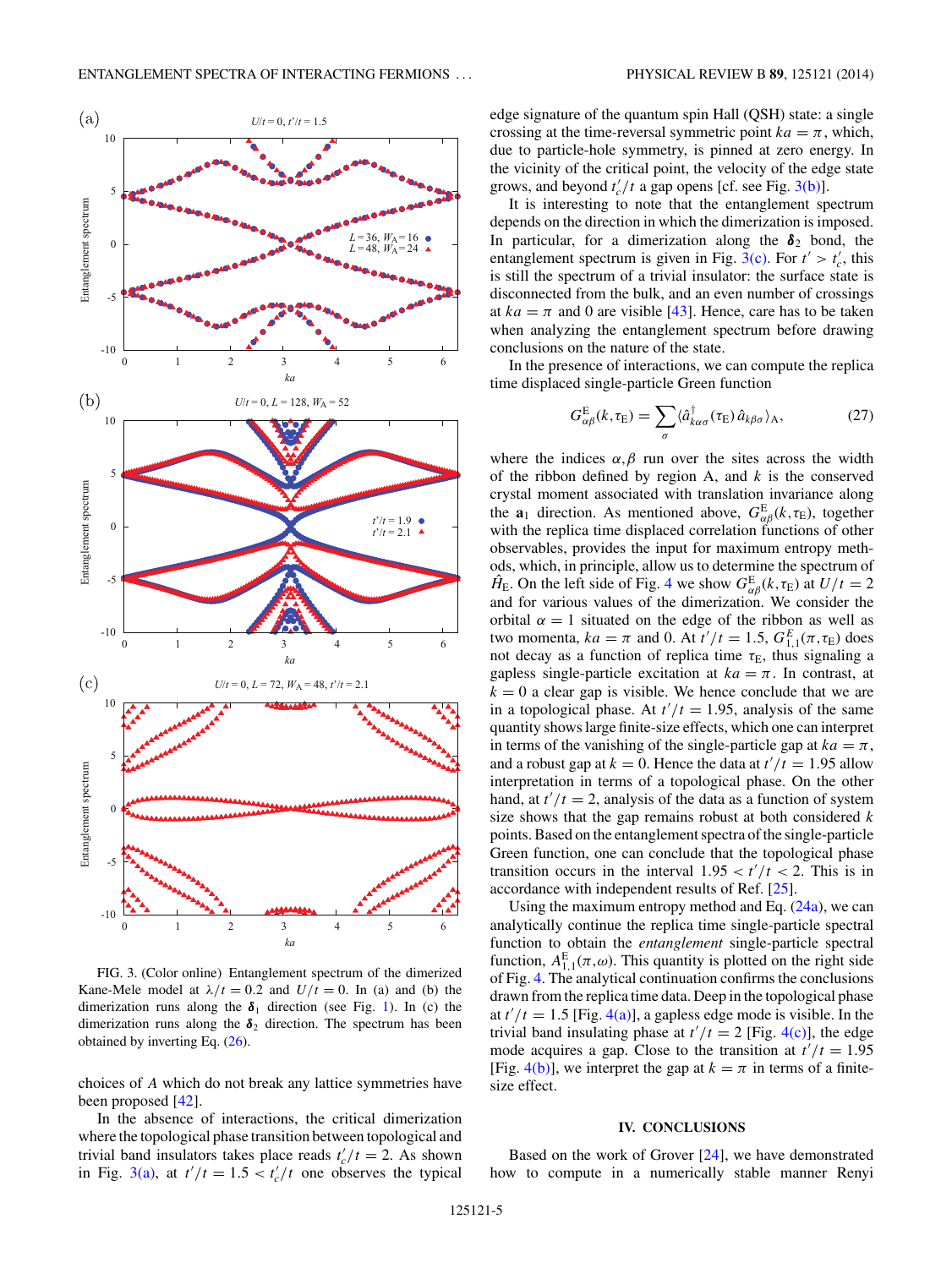<span id="page-4-0"></span>

FIG. 3. (Color online) Entanglement spectrum of the dimerized Kane-Mele model at  $\lambda/t = 0.2$  and  $U/t = 0$ . In (a) and (b) the dimerization runs along the  $\delta_1$  direction (see Fig. [1\)](#page-1-0). In (c) the dimerization runs along the  $\delta_2$  direction. The spectrum has been obtained by inverting Eq. [\(26\)](#page-3-0).

choices of *A* which do not break any lattice symmetries have been proposed [\[42\]](#page-6-0).

In the absence of interactions, the critical dimerization where the topological phase transition between topological and trivial band insulators takes place reads  $t'_c/t = 2$ . As shown in Fig. 3(a), at  $t'/t = 1.5 < t'_c/t$  one observes the typical

edge signature of the quantum spin Hall (QSH) state: a single crossing at the time-reversal symmetric point  $ka = \pi$ , which, due to particle-hole symmetry, is pinned at zero energy. In the vicinity of the critical point, the velocity of the edge state grows, and beyond  $t'_c/t$  a gap opens [cf. see Fig. 3(b)].

It is interesting to note that the entanglement spectrum depends on the direction in which the dimerization is imposed. In particular, for a dimerization along the  $\delta_2$  bond, the entanglement spectrum is given in Fig.  $3(c)$ . For  $t' > t'_c$ , this is still the spectrum of a trivial insulator: the surface state is disconnected from the bulk, and an even number of crossings at  $ka = \pi$  and 0 are visible [\[43\]](#page-6-0). Hence, care has to be taken when analyzing the entanglement spectrum before drawing conclusions on the nature of the state.

In the presence of interactions, we can compute the replica time displaced single-particle Green function

$$
G_{\alpha\beta}^{\mathcal{E}}(k,\tau_{\mathcal{E}}) = \sum_{\sigma} \langle \hat{a}_{k\alpha\sigma}^{\dagger}(\tau_{\mathcal{E}}) \hat{a}_{k\beta\sigma} \rangle_{\mathcal{A}},\tag{27}
$$

where the indices  $\alpha, \beta$  run over the sites across the width of the ribbon defined by region A, and *k* is the conserved crystal moment associated with translation invariance along the **a**<sub>1</sub> direction. As mentioned above,  $G_{\alpha\beta}^{\text{E}}(k, \tau_{\text{E}})$ , together with the replica time displaced correlation functions of other observables, provides the input for maximum entropy methods, which, in principle, allow us to determine the spectrum of  $\hat{H}_{\text{E}}$ . On the left side of Fig. [4](#page-5-0) we show  $G_{\alpha\beta}^{\text{E}}(k, \tau_{\text{E}})$  at  $U/t = 2$ and for various values of the dimerization. We consider the orbital  $\alpha = 1$  situated on the edge of the ribbon as well as two momenta,  $ka = \pi$  and 0. At  $t'/t = 1.5$ ,  $G_{1,1}^{E}(\pi, \tau_{E})$  does not decay as a function of replica time  $\tau_E$ , thus signaling a gapless single-particle excitation at  $ka = \pi$ . In contrast, at  $k = 0$  a clear gap is visible. We hence conclude that we are in a topological phase. At  $t'/t = 1.95$ , analysis of the same quantity shows large finite-size effects, which one can interpret in terms of the vanishing of the single-particle gap at  $ka = \pi$ , and a robust gap at  $k = 0$ . Hence the data at  $t'/t = 1.95$  allow interpretation in terms of a topological phase. On the other hand, at  $t'/t = 2$ , analysis of the data as a function of system size shows that the gap remains robust at both considered *k* points. Based on the entanglement spectra of the single-particle Green function, one can conclude that the topological phase transition occurs in the interval  $1.95 < t'/t < 2$ . This is in accordance with independent results of Ref. [\[25\]](#page-6-0).

Using the maximum entropy method and Eq.  $(24a)$ , we can analytically continue the replica time single-particle spectral function to obtain the *entanglement* single-particle spectral function,  $A_{1,1}^{\text{E}}(\pi,\omega)$ . This quantity is plotted on the right side of Fig. [4.](#page-5-0) The analytical continuation confirms the conclusions drawn from the replica time data. Deep in the topological phase at  $t'/t = 1.5$  [Fig. [4\(a\)\]](#page-5-0), a gapless edge mode is visible. In the trivial band insulating phase at  $t'/t = 2$  [Fig. [4\(c\)\]](#page-5-0), the edge mode acquires a gap. Close to the transition at  $t'/t = 1.95$ [Fig. [4\(b\)\]](#page-5-0), we interpret the gap at  $k = \pi$  in terms of a finitesize effect.

### **IV. CONCLUSIONS**

Based on the work of Grover [\[24\]](#page-6-0), we have demonstrated how to compute in a numerically stable manner Renyi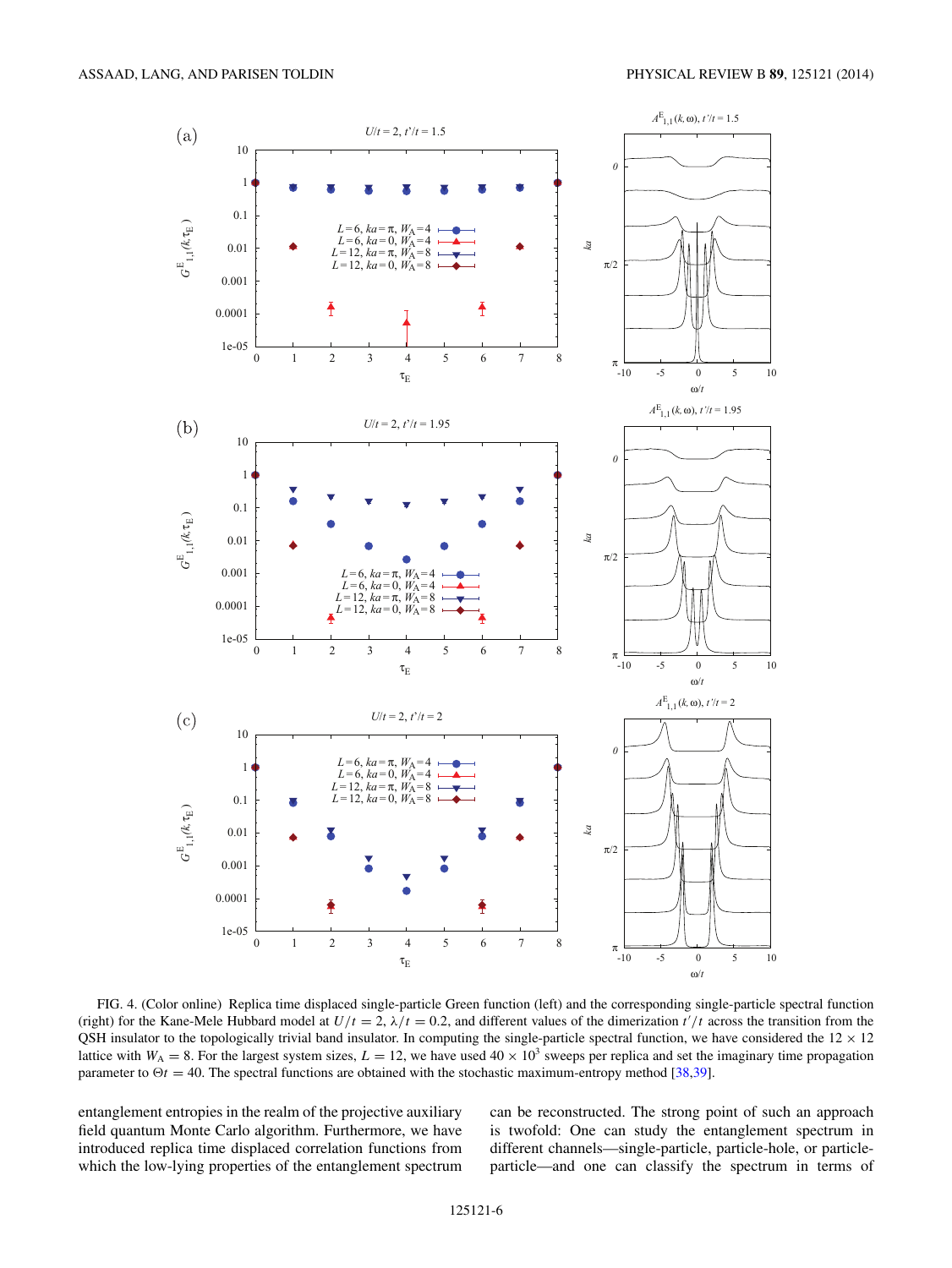<span id="page-5-0"></span>

FIG. 4. (Color online) Replica time displaced single-particle Green function (left) and the corresponding single-particle spectral function (right) for the Kane-Mele Hubbard model at  $U/t = 2$ ,  $\lambda/t = 0.2$ , and different values of the dimerization  $t'/t$  across the transition from the QSH insulator to the topologically trivial band insulator. In computing the single-particle spectral function, we have considered the  $12 \times 12$ lattice with  $W_A = 8$ . For the largest system sizes,  $L = 12$ , we have used  $40 \times 10^3$  sweeps per replica and set the imaginary time propagation parameter to  $\Theta t = 40$ . The spectral functions are obtained with the stochastic maximum-entropy method [\[38,39\]](#page-6-0).

entanglement entropies in the realm of the projective auxiliary field quantum Monte Carlo algorithm. Furthermore, we have introduced replica time displaced correlation functions from which the low-lying properties of the entanglement spectrum can be reconstructed. The strong point of such an approach is twofold: One can study the entanglement spectrum in different channels—single-particle, particle-hole, or particleparticle—and one can classify the spectrum in terms of